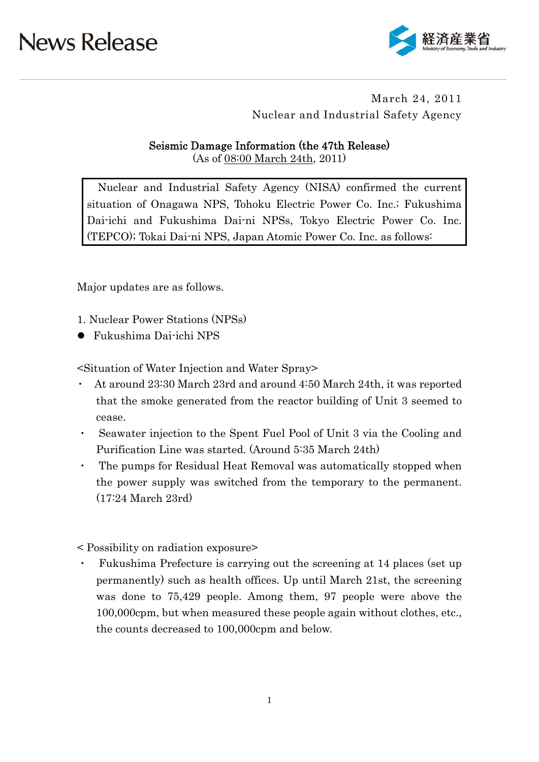

## March 24, 2011 Nuclear and Industrial Safety Agency

### Seismic Damage Information (the 47th Release)

(As of 08:00 March 24th, 2011)

Nuclear and Industrial Safety Agency (NISA) confirmed the current situation of Onagawa NPS, Tohoku Electric Power Co. Inc.; Fukushima Dai-ichi and Fukushima Dai-ni NPSs, Tokyo Electric Power Co. Inc. (TEPCO); Tokai Dai-ni NPS, Japan Atomic Power Co. Inc. as follows:

Major updates are as follows.

1. Nuclear Power Stations (NPSs)

Fukushima Dai-ichi NPS

<Situation of Water Injection and Water Spray>

- ・ At around 23:30 March 23rd and around 4:50 March 24th, it was reported that the smoke generated from the reactor building of Unit 3 seemed to cease.
- ・ Seawater injection to the Spent Fuel Pool of Unit 3 via the Cooling and Purification Line was started. (Around 5:35 March 24th)
- The pumps for Residual Heat Removal was automatically stopped when the power supply was switched from the temporary to the permanent. (17:24 March 23rd)
- < Possibility on radiation exposure>
- Fukushima Prefecture is carrying out the screening at 14 places (set up) permanently) such as health offices. Up until March 21st, the screening was done to 75,429 people. Among them, 97 people were above the 100,000cpm, but when measured these people again without clothes, etc., the counts decreased to 100,000cpm and below.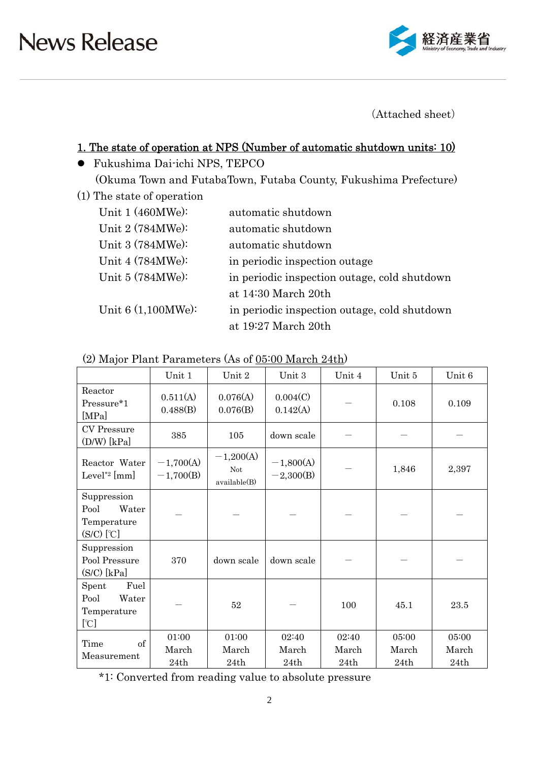

(Attached sheet)

### 1. The state of operation at NPS (Number of automatic shutdown units: 10)

- Fukushima Dai-ichi NPS, TEPCO (Okuma Town and FutabaTown, Futaba County, Fukushima Prefecture)
- (1) The state of operation

| Unit 1 (460MWe):     | automatic shutdown                           |
|----------------------|----------------------------------------------|
| Unit 2 (784MWe):     | automatic shutdown                           |
| Unit 3 (784MWe):     | automatic shutdown                           |
| Unit 4 (784MWe):     | in periodic inspection outage                |
| Unit 5 (784MWe):     | in periodic inspection outage, cold shutdown |
|                      | at 14:30 March 20th                          |
| Unit $6(1,100MWe)$ : | in periodic inspection outage, cold shutdown |
|                      | at 19:27 March 20th                          |

|                                                                             | Unit 1                     | Unit 2                             | Unit 3                     | Unit 4                 | Unit 5                 | Unit 6                 |
|-----------------------------------------------------------------------------|----------------------------|------------------------------------|----------------------------|------------------------|------------------------|------------------------|
| Reactor<br>Pressure*1<br>[MPa]                                              | 0.511(A)<br>0.488(B)       | 0.076(A)<br>0.076(B)               | 0.004(C)<br>0.142(A)       |                        | 0.108                  | 0.109                  |
| CV Pressure<br>$(D/W)$ [kPa]                                                | 385                        | 105                                | down scale                 |                        |                        |                        |
| Reactor Water<br>Level <sup>*2</sup> [mm]                                   | $-1,700(A)$<br>$-1,700(B)$ | $-1,200(A)$<br>Not<br>available(B) | $-1,800(A)$<br>$-2,300(B)$ |                        | 1,846                  | 2,397                  |
| Suppression<br>Pool<br>Water<br>Temperature<br>$(S/C)$ $[\mathcal{C}]$      |                            |                                    |                            |                        |                        |                        |
| Suppression<br>Pool Pressure<br>$(S/C)$ [kPa]                               | 370                        | down scale                         | down scale                 |                        |                        |                        |
| Fuel<br>Spent<br>Pool<br>Water<br>Temperature<br>$\lbrack \text{C} \rbrack$ |                            | 52                                 |                            | 100                    | 45.1                   | 23.5                   |
| Time<br>of<br>Measurement                                                   | 01:00<br>March<br>24th     | 01:00<br>March<br>24th             | 02:40<br>March<br>24th     | 02:40<br>March<br>24th | 05:00<br>March<br>24th | 05:00<br>March<br>24th |

### (2) Major Plant Parameters (As of 05:00 March 24th)

\*1: Converted from reading value to absolute pressure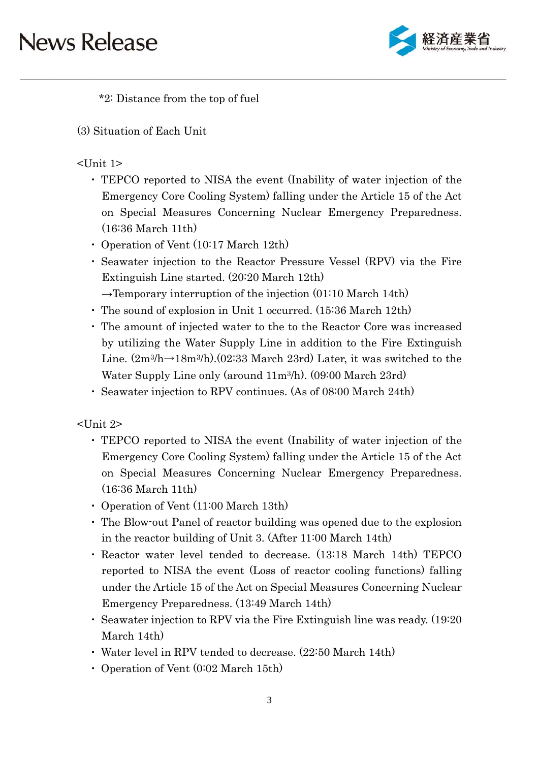

\*2: Distance from the top of fuel

(3) Situation of Each Unit

## <Unit 1>

- ・ TEPCO reported to NISA the event (Inability of water injection of the Emergency Core Cooling System) falling under the Article 15 of the Act on Special Measures Concerning Nuclear Emergency Preparedness. (16:36 March 11th)
- ・ Operation of Vent (10:17 March 12th)
- ・ Seawater injection to the Reactor Pressure Vessel (RPV) via the Fire Extinguish Line started. (20:20 March 12th)
- $\rightarrow$ Temporary interruption of the injection (01:10 March 14th)
- ・ The sound of explosion in Unit 1 occurred. (15:36 March 12th)
- ・ The amount of injected water to the to the Reactor Core was increased by utilizing the Water Supply Line in addition to the Fire Extinguish Line.  $(2m^3/h\rightarrow 18m^3/h)$ . (02:33 March 23rd) Later, it was switched to the Water Supply Line only (around 11m3/h). (09:00 March 23rd)
- ・ Seawater injection to RPV continues. (As of 08:00 March 24th)

<Unit 2>

- ・ TEPCO reported to NISA the event (Inability of water injection of the Emergency Core Cooling System) falling under the Article 15 of the Act on Special Measures Concerning Nuclear Emergency Preparedness. (16:36 March 11th)
- ・ Operation of Vent (11:00 March 13th)
- ・ The Blow-out Panel of reactor building was opened due to the explosion in the reactor building of Unit 3. (After 11:00 March 14th)
- ・ Reactor water level tended to decrease. (13:18 March 14th) TEPCO reported to NISA the event (Loss of reactor cooling functions) falling under the Article 15 of the Act on Special Measures Concerning Nuclear Emergency Preparedness. (13:49 March 14th)
- ・ Seawater injection to RPV via the Fire Extinguish line was ready. (19:20 March 14th)
- ・ Water level in RPV tended to decrease. (22:50 March 14th)
- ・ Operation of Vent (0:02 March 15th)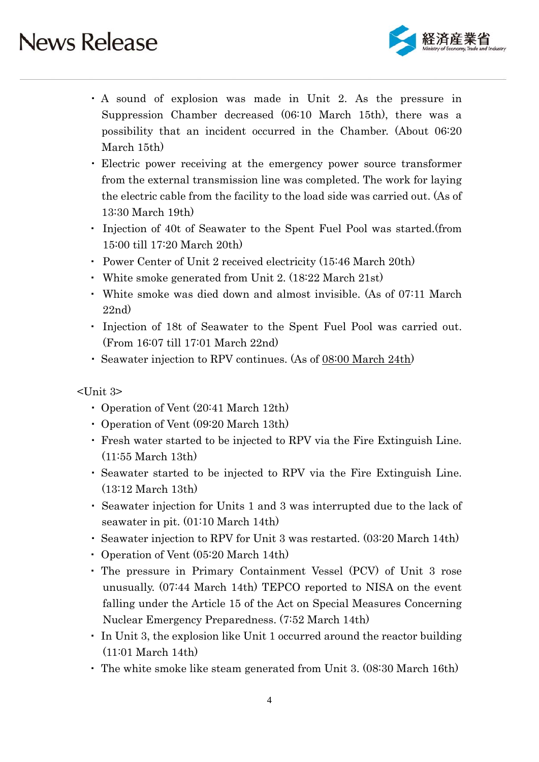

- ・ A sound of explosion was made in Unit 2. As the pressure in Suppression Chamber decreased (06:10 March 15th), there was a possibility that an incident occurred in the Chamber. (About 06:20 March 15th)
- ・ Electric power receiving at the emergency power source transformer from the external transmission line was completed. The work for laying the electric cable from the facility to the load side was carried out. (As of 13:30 March 19th)
- ・ Injection of 40t of Seawater to the Spent Fuel Pool was started.(from 15:00 till 17:20 March 20th)
- ・ Power Center of Unit 2 received electricity (15:46 March 20th)
- ・ White smoke generated from Unit 2. (18:22 March 21st)
- ・ White smoke was died down and almost invisible. (As of 07:11 March 22nd)
- ・ Injection of 18t of Seawater to the Spent Fuel Pool was carried out. (From 16:07 till 17:01 March 22nd)
- ・ Seawater injection to RPV continues. (As of 08:00 March 24th)

<Unit 3>

- ・ Operation of Vent (20:41 March 12th)
- ・ Operation of Vent (09:20 March 13th)
- ・ Fresh water started to be injected to RPV via the Fire Extinguish Line. (11:55 March 13th)
- ・ Seawater started to be injected to RPV via the Fire Extinguish Line. (13:12 March 13th)
- ・ Seawater injection for Units 1 and 3 was interrupted due to the lack of seawater in pit. (01:10 March 14th)
- ・ Seawater injection to RPV for Unit 3 was restarted. (03:20 March 14th)
- ・ Operation of Vent (05:20 March 14th)
- ・ The pressure in Primary Containment Vessel (PCV) of Unit 3 rose unusually. (07:44 March 14th) TEPCO reported to NISA on the event falling under the Article 15 of the Act on Special Measures Concerning Nuclear Emergency Preparedness. (7:52 March 14th)
- ・ In Unit 3, the explosion like Unit 1 occurred around the reactor building (11:01 March 14th)
- ・ The white smoke like steam generated from Unit 3. (08:30 March 16th)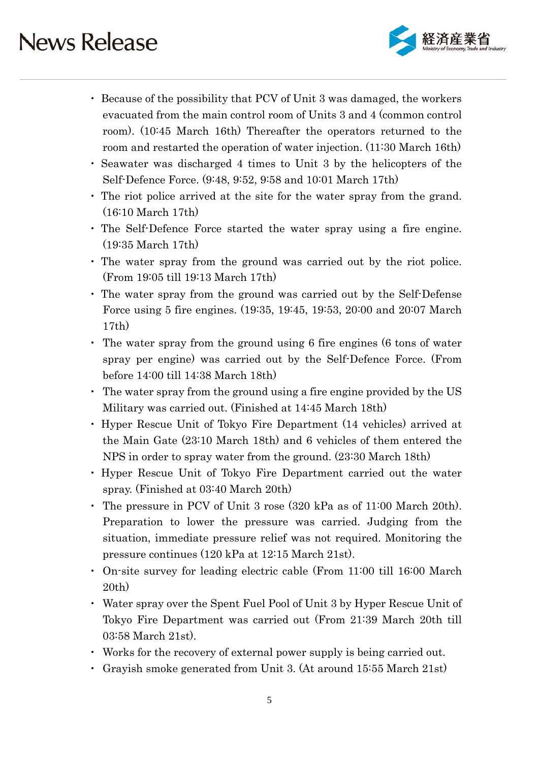

- ・ Because of the possibility that PCV of Unit 3 was damaged, the workers evacuated from the main control room of Units 3 and 4 (common control room). (10:45 March 16th) Thereafter the operators returned to the room and restarted the operation of water injection. (11:30 March 16th)
- ・ Seawater was discharged 4 times to Unit 3 by the helicopters of the Self-Defence Force. (9:48, 9:52, 9:58 and 10:01 March 17th)
- ・ The riot police arrived at the site for the water spray from the grand. (16:10 March 17th)
- ・ The Self-Defence Force started the water spray using a fire engine. (19:35 March 17th)
- ・ The water spray from the ground was carried out by the riot police. (From 19:05 till 19:13 March 17th)
- ・ The water spray from the ground was carried out by the Self-Defense Force using 5 fire engines. (19:35, 19:45, 19:53, 20:00 and 20:07 March 17th)
- ・ The water spray from the ground using 6 fire engines (6 tons of water spray per engine) was carried out by the Self-Defence Force. (From before 14:00 till 14:38 March 18th)
- ・ The water spray from the ground using a fire engine provided by the US Military was carried out. (Finished at 14:45 March 18th)
- ・ Hyper Rescue Unit of Tokyo Fire Department (14 vehicles) arrived at the Main Gate (23:10 March 18th) and 6 vehicles of them entered the NPS in order to spray water from the ground. (23:30 March 18th)
- ・ Hyper Rescue Unit of Tokyo Fire Department carried out the water spray. (Finished at 03:40 March 20th)
- ・ The pressure in PCV of Unit 3 rose (320 kPa as of 11:00 March 20th). Preparation to lower the pressure was carried. Judging from the situation, immediate pressure relief was not required. Monitoring the pressure continues (120 kPa at 12:15 March 21st).
- ・ On-site survey for leading electric cable (From 11:00 till 16:00 March 20th)
- ・ Water spray over the Spent Fuel Pool of Unit 3 by Hyper Rescue Unit of Tokyo Fire Department was carried out (From 21:39 March 20th till 03:58 March 21st).
- ・ Works for the recovery of external power supply is being carried out.
- ・ Grayish smoke generated from Unit 3. (At around 15:55 March 21st)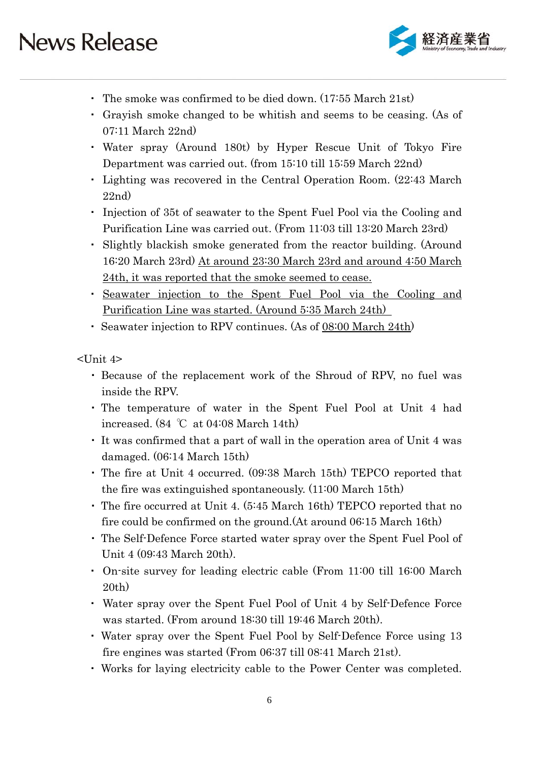

- ・ The smoke was confirmed to be died down. (17:55 March 21st)
- ・ Grayish smoke changed to be whitish and seems to be ceasing. (As of 07:11 March 22nd)
- ・ Water spray (Around 180t) by Hyper Rescue Unit of Tokyo Fire Department was carried out. (from 15:10 till 15:59 March 22nd)
- ・ Lighting was recovered in the Central Operation Room. (22:43 March 22nd)
- ・ Injection of 35t of seawater to the Spent Fuel Pool via the Cooling and Purification Line was carried out. (From 11:03 till 13:20 March 23rd)
- ・ Slightly blackish smoke generated from the reactor building. (Around 16:20 March 23rd) At around 23:30 March 23rd and around 4:50 March 24th, it was reported that the smoke seemed to cease.
- ・ Seawater injection to the Spent Fuel Pool via the Cooling and Purification Line was started. (Around 5:35 March 24th)
- ・ Seawater injection to RPV continues. (As of 08:00 March 24th)

<Unit 4>

- ・ Because of the replacement work of the Shroud of RPV, no fuel was inside the RPV.
- ・ The temperature of water in the Spent Fuel Pool at Unit 4 had increased. (84 ℃ at 04:08 March 14th)
- ・ It was confirmed that a part of wall in the operation area of Unit 4 was damaged. (06:14 March 15th)
- ・ The fire at Unit 4 occurred. (09:38 March 15th) TEPCO reported that the fire was extinguished spontaneously. (11:00 March 15th)
- ・ The fire occurred at Unit 4. (5:45 March 16th) TEPCO reported that no fire could be confirmed on the ground.(At around 06:15 March 16th)
- ・ The Self-Defence Force started water spray over the Spent Fuel Pool of Unit 4 (09:43 March 20th).
- ・ On-site survey for leading electric cable (From 11:00 till 16:00 March 20th)
- ・ Water spray over the Spent Fuel Pool of Unit 4 by Self-Defence Force was started. (From around 18:30 till 19:46 March 20th).
- ・ Water spray over the Spent Fuel Pool by Self-Defence Force using 13 fire engines was started (From 06:37 till 08:41 March 21st).
- ・ Works for laying electricity cable to the Power Center was completed.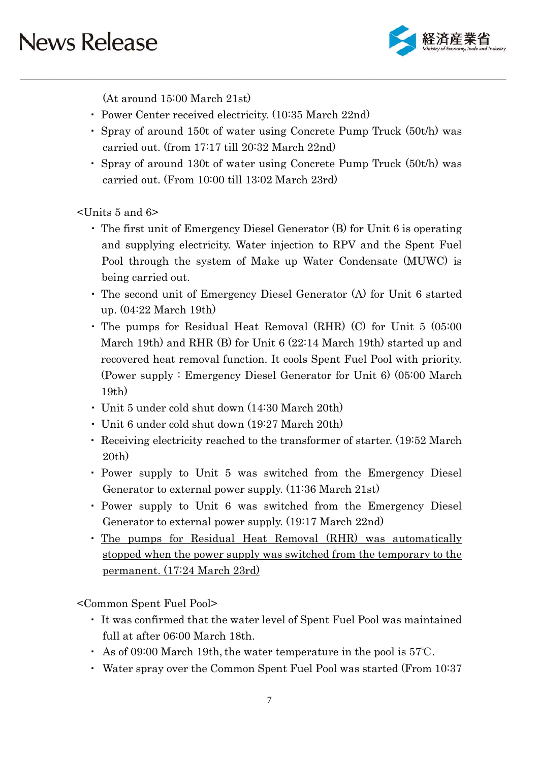

(At around 15:00 March 21st)

- ・ Power Center received electricity. (10:35 March 22nd)
- ・ Spray of around 150t of water using Concrete Pump Truck (50t/h) was carried out. (from 17:17 till 20:32 March 22nd)
- ・ Spray of around 130t of water using Concrete Pump Truck (50t/h) was carried out. (From 10:00 till 13:02 March 23rd)

<Units 5 and 6>

- ・ The first unit of Emergency Diesel Generator (B) for Unit 6 is operating and supplying electricity. Water injection to RPV and the Spent Fuel Pool through the system of Make up Water Condensate (MUWC) is being carried out.
- ・ The second unit of Emergency Diesel Generator (A) for Unit 6 started up. (04:22 March 19th)
- ・ The pumps for Residual Heat Removal (RHR) (C) for Unit 5 (05:00 March 19th) and RHR (B) for Unit 6 (22:14 March 19th) started up and recovered heat removal function. It cools Spent Fuel Pool with priority. (Power supply : Emergency Diesel Generator for Unit 6) (05:00 March 19th)
- ・ Unit 5 under cold shut down (14:30 March 20th)
- ・ Unit 6 under cold shut down (19:27 March 20th)
- ・ Receiving electricity reached to the transformer of starter. (19:52 March 20th)
- ・ Power supply to Unit 5 was switched from the Emergency Diesel Generator to external power supply. (11:36 March 21st)
- ・ Power supply to Unit 6 was switched from the Emergency Diesel Generator to external power supply. (19:17 March 22nd)
- ・ The pumps for Residual Heat Removal (RHR) was automatically stopped when the power supply was switched from the temporary to the permanent. (17:24 March 23rd)

<Common Spent Fuel Pool>

- ・ It was confirmed that the water level of Spent Fuel Pool was maintained full at after 06:00 March 18th.
- As of 09:00 March 19th, the water temperature in the pool is  $57^{\circ}$ C.
- ・ Water spray over the Common Spent Fuel Pool was started (From 10:37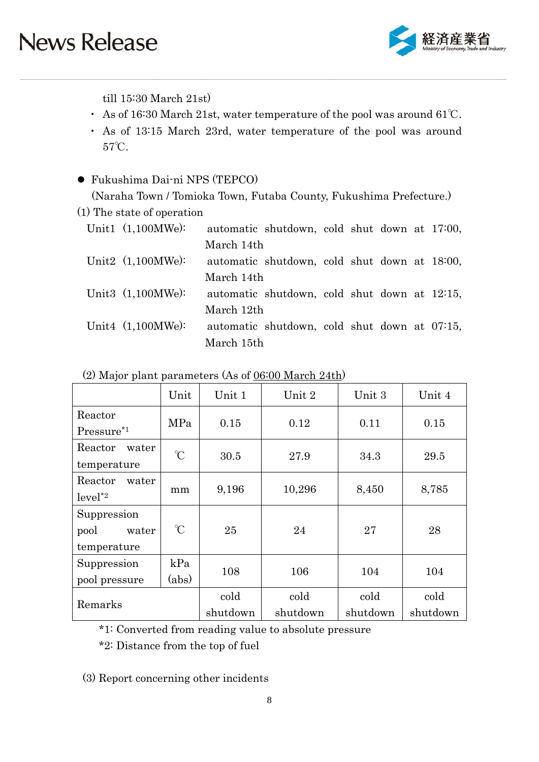

till 15:30 March 21st)

- ・ As of 16:30 March 21st, water temperature of the pool was around 61℃.
- ・ As of 13:15 March 23rd, water temperature of the pool was around 57℃.

### Fukushima Dai-ni NPS (TEPCO)

(Naraha Town / Tomioka Town, Futaba County, Fukushima Prefecture.)

(1) The state of operation

| Unit1 $(1,100MWe)$ : |            | automatic shutdown, cold shut down at 17:00, |  |  |  |
|----------------------|------------|----------------------------------------------|--|--|--|
|                      | March 14th |                                              |  |  |  |
| Unit2 $(1,100MWe)$ : |            | automatic shutdown, cold shut down at 18:00, |  |  |  |
|                      | March 14th |                                              |  |  |  |
| Unit3 $(1,100MWe)$ : |            | automatic shutdown, cold shut down at 12:15, |  |  |  |
|                      | March 12th |                                              |  |  |  |
| Unit4 $(1,100MWe)$ : |            | automatic shutdown, cold shut down at 07:15, |  |  |  |
|                      | March 15th |                                              |  |  |  |
|                      |            |                                              |  |  |  |

|                                             | Unit         | Unit 1           | Unit 2           | Unit 3           | Unit 4           |  |
|---------------------------------------------|--------------|------------------|------------------|------------------|------------------|--|
| Reactor<br>Pressure <sup>*1</sup>           | MPa          | 0.15             | 0.12             | 0.11             | 0.15             |  |
| Reactor<br>water<br>temperature             | $\mathrm{C}$ | 30.5             | 27.9             | 34.3             | 29.5             |  |
| Reactor<br>water<br>$level^*2$              | mm           | 9,196            | 10,296           | 8,450            | 8,785            |  |
| Suppression<br>pool<br>water<br>temperature | $\mathrm{C}$ | 25               | 24               | 27               | 28               |  |
| Suppression<br>pool pressure                | kPa<br>(abs) | 108              | 106              | 104              | 104              |  |
| Remarks                                     |              | cold<br>shutdown | cold<br>shutdown | cold<br>shutdown | cold<br>shutdown |  |

\*1: Converted from reading value to absolute pressure

\*2: Distance from the top of fuel

(3) Report concerning other incidents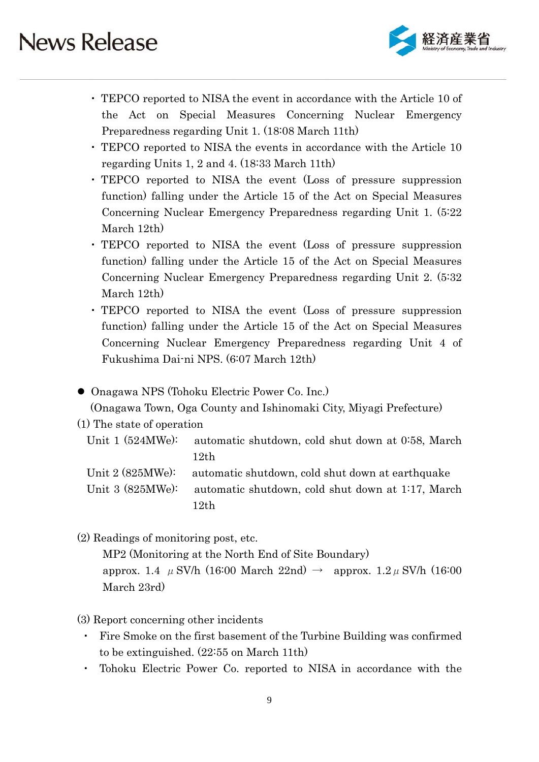

- ・ TEPCO reported to NISA the event in accordance with the Article 10 of the Act on Special Measures Concerning Nuclear Emergency Preparedness regarding Unit 1. (18:08 March 11th)
- ・ TEPCO reported to NISA the events in accordance with the Article 10 regarding Units 1, 2 and 4. (18:33 March 11th)
- ・ TEPCO reported to NISA the event (Loss of pressure suppression function) falling under the Article 15 of the Act on Special Measures Concerning Nuclear Emergency Preparedness regarding Unit 1. (5:22 March 12th)
- ・ TEPCO reported to NISA the event (Loss of pressure suppression function) falling under the Article 15 of the Act on Special Measures Concerning Nuclear Emergency Preparedness regarding Unit 2. (5:32 March 12th)
- ・ TEPCO reported to NISA the event (Loss of pressure suppression function) falling under the Article 15 of the Act on Special Measures Concerning Nuclear Emergency Preparedness regarding Unit 4 of Fukushima Dai-ni NPS. (6:07 March 12th)
- Onagawa NPS (Tohoku Electric Power Co. Inc.)

(Onagawa Town, Oga County and Ishinomaki City, Miyagi Prefecture)

- (1) The state of operation
	- Unit 1 (524MWe): automatic shutdown, cold shut down at 0:58, March 12th
	- Unit 2 (825MWe): automatic shutdown, cold shut down at earthquake

Unit 3 (825MWe): automatic shutdown, cold shut down at 1:17, March 12th

(2) Readings of monitoring post, etc.

MP2 (Monitoring at the North End of Site Boundary) approx. 1.4  $\mu$  SV/h (16:00 March 22nd)  $\rightarrow$  approx. 1.2  $\mu$  SV/h (16:00 March 23rd)

- (3) Report concerning other incidents
	- ・ Fire Smoke on the first basement of the Turbine Building was confirmed to be extinguished. (22:55 on March 11th)
	- Tohoku Electric Power Co. reported to NISA in accordance with the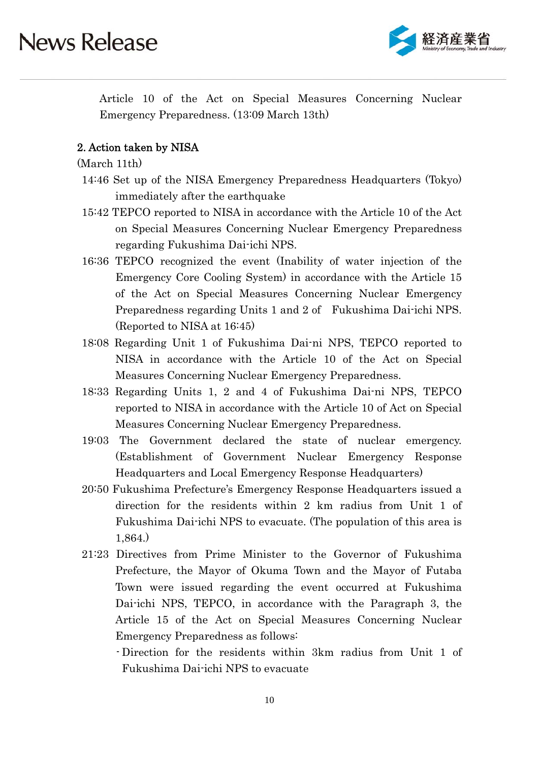

Article 10 of the Act on Special Measures Concerning Nuclear Emergency Preparedness. (13:09 March 13th)

### 2. Action taken by NISA

### (March 11th)

- 14:46 Set up of the NISA Emergency Preparedness Headquarters (Tokyo) immediately after the earthquake
- 15:42 TEPCO reported to NISA in accordance with the Article 10 of the Act on Special Measures Concerning Nuclear Emergency Preparedness regarding Fukushima Dai-ichi NPS.
- 16:36 TEPCO recognized the event (Inability of water injection of the Emergency Core Cooling System) in accordance with the Article 15 of the Act on Special Measures Concerning Nuclear Emergency Preparedness regarding Units 1 and 2 of Fukushima Dai-ichi NPS. (Reported to NISA at 16:45)
- 18:08 Regarding Unit 1 of Fukushima Dai-ni NPS, TEPCO reported to NISA in accordance with the Article 10 of the Act on Special Measures Concerning Nuclear Emergency Preparedness.
- 18:33 Regarding Units 1, 2 and 4 of Fukushima Dai-ni NPS, TEPCO reported to NISA in accordance with the Article 10 of Act on Special Measures Concerning Nuclear Emergency Preparedness.
- 19:03 The Government declared the state of nuclear emergency. (Establishment of Government Nuclear Emergency Response Headquarters and Local Emergency Response Headquarters)
- 20:50 Fukushima Prefecture's Emergency Response Headquarters issued a direction for the residents within 2 km radius from Unit 1 of Fukushima Dai-ichi NPS to evacuate. (The population of this area is 1,864.)
- 21:23 Directives from Prime Minister to the Governor of Fukushima Prefecture, the Mayor of Okuma Town and the Mayor of Futaba Town were issued regarding the event occurred at Fukushima Dai-ichi NPS, TEPCO, in accordance with the Paragraph 3, the Article 15 of the Act on Special Measures Concerning Nuclear Emergency Preparedness as follows:
	- Direction for the residents within 3km radius from Unit 1 of Fukushima Dai-ichi NPS to evacuate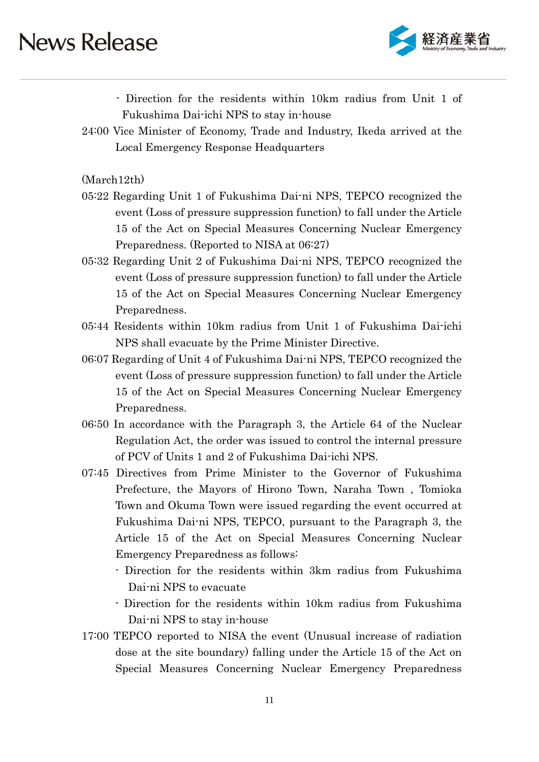

- Direction for the residents within 10km radius from Unit 1 of Fukushima Dai-ichi NPS to stay in-house

24:00 Vice Minister of Economy, Trade and Industry, Ikeda arrived at the Local Emergency Response Headquarters

(March12th)

- 05:22 Regarding Unit 1 of Fukushima Dai-ni NPS, TEPCO recognized the event (Loss of pressure suppression function) to fall under the Article 15 of the Act on Special Measures Concerning Nuclear Emergency Preparedness. (Reported to NISA at 06:27)
- 05:32 Regarding Unit 2 of Fukushima Dai-ni NPS, TEPCO recognized the event (Loss of pressure suppression function) to fall under the Article 15 of the Act on Special Measures Concerning Nuclear Emergency Preparedness.
- 05:44 Residents within 10km radius from Unit 1 of Fukushima Dai-ichi NPS shall evacuate by the Prime Minister Directive.
- 06:07 Regarding of Unit 4 of Fukushima Dai-ni NPS, TEPCO recognized the event (Loss of pressure suppression function) to fall under the Article 15 of the Act on Special Measures Concerning Nuclear Emergency Preparedness.
- 06:50 In accordance with the Paragraph 3, the Article 64 of the Nuclear Regulation Act, the order was issued to control the internal pressure of PCV of Units 1 and 2 of Fukushima Dai-ichi NPS.
- 07:45 Directives from Prime Minister to the Governor of Fukushima Prefecture, the Mayors of Hirono Town, Naraha Town , Tomioka Town and Okuma Town were issued regarding the event occurred at Fukushima Dai-ni NPS, TEPCO, pursuant to the Paragraph 3, the Article 15 of the Act on Special Measures Concerning Nuclear Emergency Preparedness as follows:
	- Direction for the residents within 3km radius from Fukushima Dai-ni NPS to evacuate
	- Direction for the residents within 10km radius from Fukushima Dai-ni NPS to stay in-house
- 17:00 TEPCO reported to NISA the event (Unusual increase of radiation dose at the site boundary) falling under the Article 15 of the Act on Special Measures Concerning Nuclear Emergency Preparedness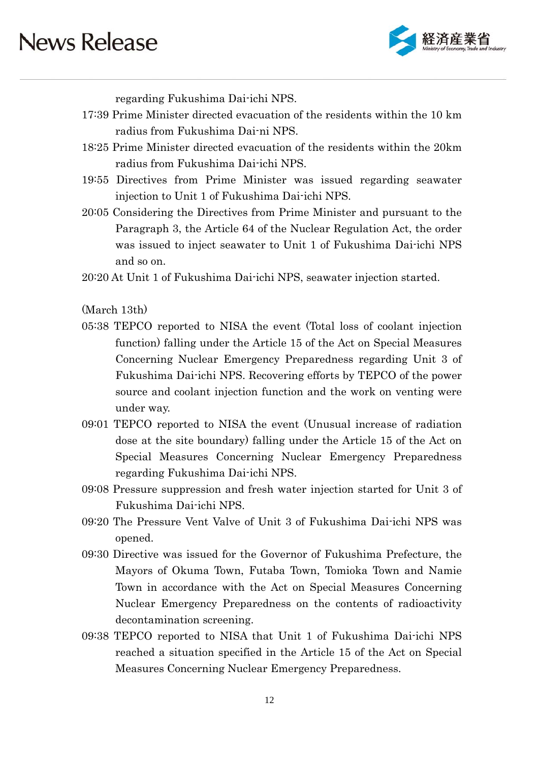

regarding Fukushima Dai-ichi NPS.

- 17:39 Prime Minister directed evacuation of the residents within the 10 km radius from Fukushima Dai-ni NPS.
- 18:25 Prime Minister directed evacuation of the residents within the 20km radius from Fukushima Dai-ichi NPS.
- 19:55 Directives from Prime Minister was issued regarding seawater injection to Unit 1 of Fukushima Dai-ichi NPS.
- 20:05 Considering the Directives from Prime Minister and pursuant to the Paragraph 3, the Article 64 of the Nuclear Regulation Act, the order was issued to inject seawater to Unit 1 of Fukushima Dai-ichi NPS and so on.
- 20:20 At Unit 1 of Fukushima Dai-ichi NPS, seawater injection started.

(March 13th)

- 05:38 TEPCO reported to NISA the event (Total loss of coolant injection function) falling under the Article 15 of the Act on Special Measures Concerning Nuclear Emergency Preparedness regarding Unit 3 of Fukushima Dai-ichi NPS. Recovering efforts by TEPCO of the power source and coolant injection function and the work on venting were under way.
- 09:01 TEPCO reported to NISA the event (Unusual increase of radiation dose at the site boundary) falling under the Article 15 of the Act on Special Measures Concerning Nuclear Emergency Preparedness regarding Fukushima Dai-ichi NPS.
- 09:08 Pressure suppression and fresh water injection started for Unit 3 of Fukushima Dai-ichi NPS.
- 09:20 The Pressure Vent Valve of Unit 3 of Fukushima Dai-ichi NPS was opened.
- 09:30 Directive was issued for the Governor of Fukushima Prefecture, the Mayors of Okuma Town, Futaba Town, Tomioka Town and Namie Town in accordance with the Act on Special Measures Concerning Nuclear Emergency Preparedness on the contents of radioactivity decontamination screening.
- 09:38 TEPCO reported to NISA that Unit 1 of Fukushima Dai-ichi NPS reached a situation specified in the Article 15 of the Act on Special Measures Concerning Nuclear Emergency Preparedness.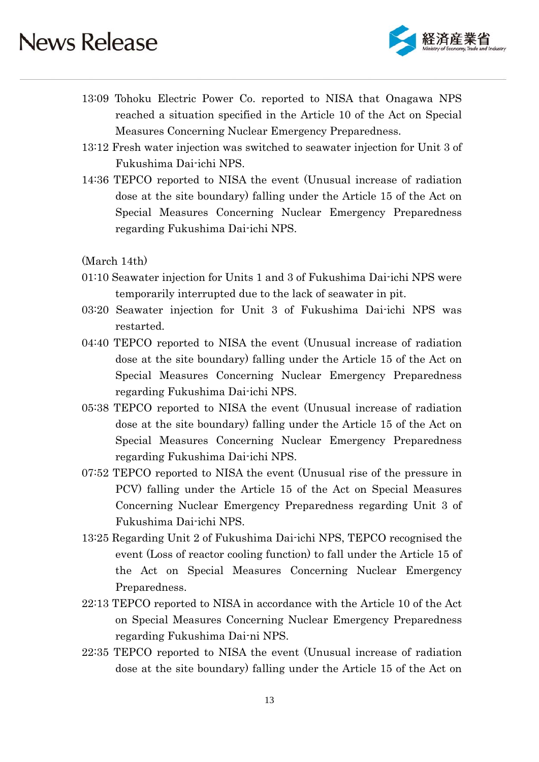

- 13:09 Tohoku Electric Power Co. reported to NISA that Onagawa NPS reached a situation specified in the Article 10 of the Act on Special Measures Concerning Nuclear Emergency Preparedness.
- 13:12 Fresh water injection was switched to seawater injection for Unit 3 of Fukushima Dai-ichi NPS.
- 14:36 TEPCO reported to NISA the event (Unusual increase of radiation dose at the site boundary) falling under the Article 15 of the Act on Special Measures Concerning Nuclear Emergency Preparedness regarding Fukushima Dai-ichi NPS.

(March 14th)

- 01:10 Seawater injection for Units 1 and 3 of Fukushima Dai-ichi NPS were temporarily interrupted due to the lack of seawater in pit.
- 03:20 Seawater injection for Unit 3 of Fukushima Dai-ichi NPS was restarted.
- 04:40 TEPCO reported to NISA the event (Unusual increase of radiation dose at the site boundary) falling under the Article 15 of the Act on Special Measures Concerning Nuclear Emergency Preparedness regarding Fukushima Dai-ichi NPS.
- 05:38 TEPCO reported to NISA the event (Unusual increase of radiation dose at the site boundary) falling under the Article 15 of the Act on Special Measures Concerning Nuclear Emergency Preparedness regarding Fukushima Dai-ichi NPS.
- 07:52 TEPCO reported to NISA the event (Unusual rise of the pressure in PCV) falling under the Article 15 of the Act on Special Measures Concerning Nuclear Emergency Preparedness regarding Unit 3 of Fukushima Dai-ichi NPS.
- 13:25 Regarding Unit 2 of Fukushima Dai-ichi NPS, TEPCO recognised the event (Loss of reactor cooling function) to fall under the Article 15 of the Act on Special Measures Concerning Nuclear Emergency Preparedness.
- 22:13 TEPCO reported to NISA in accordance with the Article 10 of the Act on Special Measures Concerning Nuclear Emergency Preparedness regarding Fukushima Dai-ni NPS.
- 22:35 TEPCO reported to NISA the event (Unusual increase of radiation dose at the site boundary) falling under the Article 15 of the Act on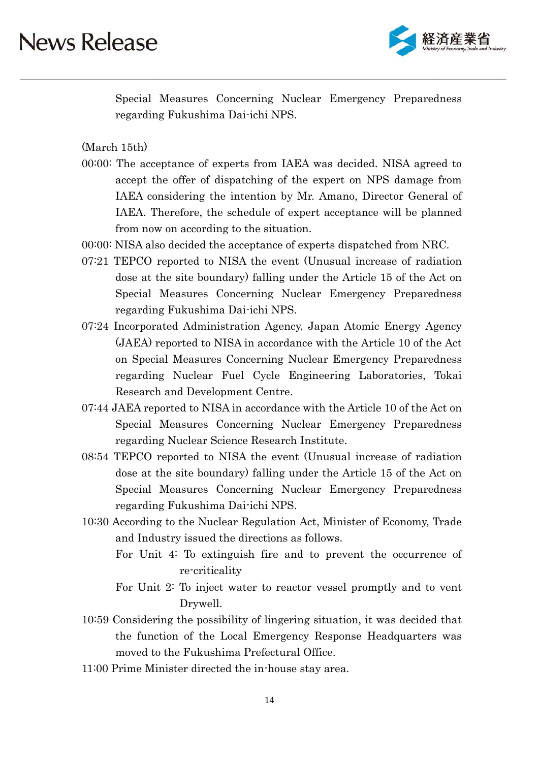

Special Measures Concerning Nuclear Emergency Preparedness regarding Fukushima Dai-ichi NPS.

(March 15th)

- 00:00: The acceptance of experts from IAEA was decided. NISA agreed to accept the offer of dispatching of the expert on NPS damage from IAEA considering the intention by Mr. Amano, Director General of IAEA. Therefore, the schedule of expert acceptance will be planned from now on according to the situation.
- 00:00: NISA also decided the acceptance of experts dispatched from NRC.
- 07:21 TEPCO reported to NISA the event (Unusual increase of radiation dose at the site boundary) falling under the Article 15 of the Act on Special Measures Concerning Nuclear Emergency Preparedness regarding Fukushima Dai-ichi NPS.
- 07:24 Incorporated Administration Agency, Japan Atomic Energy Agency (JAEA) reported to NISA in accordance with the Article 10 of the Act on Special Measures Concerning Nuclear Emergency Preparedness regarding Nuclear Fuel Cycle Engineering Laboratories, Tokai Research and Development Centre.
- 07:44 JAEA reported to NISA in accordance with the Article 10 of the Act on Special Measures Concerning Nuclear Emergency Preparedness regarding Nuclear Science Research Institute.
- 08:54 TEPCO reported to NISA the event (Unusual increase of radiation dose at the site boundary) falling under the Article 15 of the Act on Special Measures Concerning Nuclear Emergency Preparedness regarding Fukushima Dai-ichi NPS.
- 10:30 According to the Nuclear Regulation Act, Minister of Economy, Trade and Industry issued the directions as follows.
	- For Unit 4: To extinguish fire and to prevent the occurrence of re-criticality
	- For Unit 2: To inject water to reactor vessel promptly and to vent Drywell.
- 10:59 Considering the possibility of lingering situation, it was decided that the function of the Local Emergency Response Headquarters was moved to the Fukushima Prefectural Office.
- 11:00 Prime Minister directed the in-house stay area.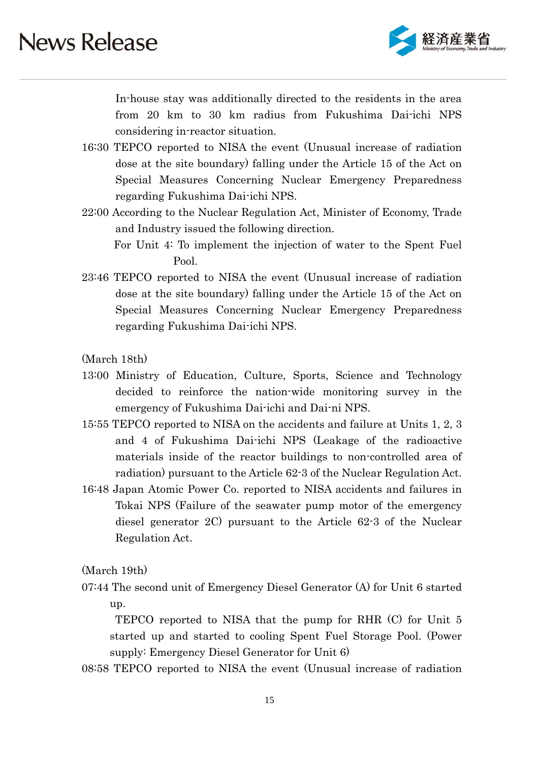

 In-house stay was additionally directed to the residents in the area from 20 km to 30 km radius from Fukushima Dai-ichi NPS considering in-reactor situation.

- 16:30 TEPCO reported to NISA the event (Unusual increase of radiation dose at the site boundary) falling under the Article 15 of the Act on Special Measures Concerning Nuclear Emergency Preparedness regarding Fukushima Dai-ichi NPS.
- 22:00 According to the Nuclear Regulation Act, Minister of Economy, Trade and Industry issued the following direction.

For Unit 4: To implement the injection of water to the Spent Fuel Pool.

23:46 TEPCO reported to NISA the event (Unusual increase of radiation dose at the site boundary) falling under the Article 15 of the Act on Special Measures Concerning Nuclear Emergency Preparedness regarding Fukushima Dai-ichi NPS.

(March 18th)

- 13:00 Ministry of Education, Culture, Sports, Science and Technology decided to reinforce the nation-wide monitoring survey in the emergency of Fukushima Dai-ichi and Dai-ni NPS.
- 15:55 TEPCO reported to NISA on the accidents and failure at Units 1, 2, 3 and 4 of Fukushima Dai-ichi NPS (Leakage of the radioactive materials inside of the reactor buildings to non-controlled area of radiation) pursuant to the Article 62-3 of the Nuclear Regulation Act.
- 16:48 Japan Atomic Power Co. reported to NISA accidents and failures in Tokai NPS (Failure of the seawater pump motor of the emergency diesel generator 2C) pursuant to the Article 62-3 of the Nuclear Regulation Act.

(March 19th)

07:44 The second unit of Emergency Diesel Generator (A) for Unit 6 started up.

 TEPCO reported to NISA that the pump for RHR (C) for Unit 5 started up and started to cooling Spent Fuel Storage Pool. (Power supply: Emergency Diesel Generator for Unit 6)

08:58 TEPCO reported to NISA the event (Unusual increase of radiation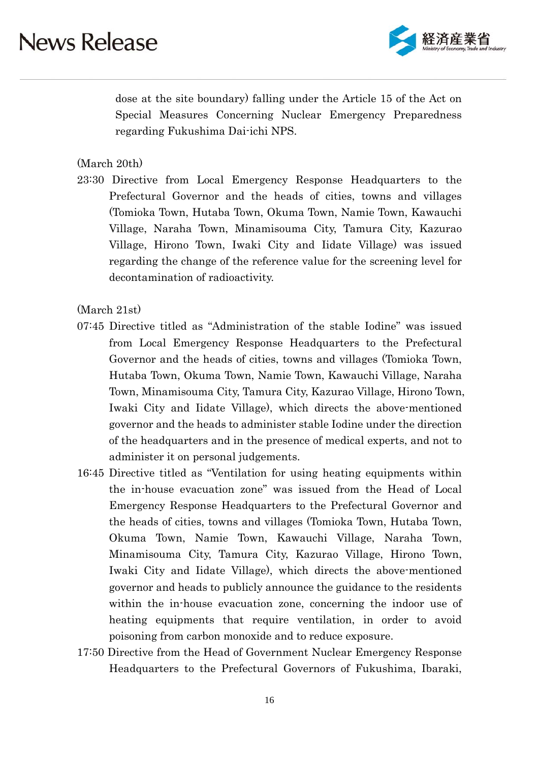

dose at the site boundary) falling under the Article 15 of the Act on Special Measures Concerning Nuclear Emergency Preparedness regarding Fukushima Dai-ichi NPS.

(March 20th)

23:30 Directive from Local Emergency Response Headquarters to the Prefectural Governor and the heads of cities, towns and villages (Tomioka Town, Hutaba Town, Okuma Town, Namie Town, Kawauchi Village, Naraha Town, Minamisouma City, Tamura City, Kazurao Village, Hirono Town, Iwaki City and Iidate Village) was issued regarding the change of the reference value for the screening level for decontamination of radioactivity.

(March 21st)

- 07:45 Directive titled as "Administration of the stable Iodine" was issued from Local Emergency Response Headquarters to the Prefectural Governor and the heads of cities, towns and villages (Tomioka Town, Hutaba Town, Okuma Town, Namie Town, Kawauchi Village, Naraha Town, Minamisouma City, Tamura City, Kazurao Village, Hirono Town, Iwaki City and Iidate Village), which directs the above-mentioned governor and the heads to administer stable Iodine under the direction of the headquarters and in the presence of medical experts, and not to administer it on personal judgements.
- 16:45 Directive titled as "Ventilation for using heating equipments within the in-house evacuation zone" was issued from the Head of Local Emergency Response Headquarters to the Prefectural Governor and the heads of cities, towns and villages (Tomioka Town, Hutaba Town, Okuma Town, Namie Town, Kawauchi Village, Naraha Town, Minamisouma City, Tamura City, Kazurao Village, Hirono Town, Iwaki City and Iidate Village), which directs the above-mentioned governor and heads to publicly announce the guidance to the residents within the in-house evacuation zone, concerning the indoor use of heating equipments that require ventilation, in order to avoid poisoning from carbon monoxide and to reduce exposure.
- 17:50 Directive from the Head of Government Nuclear Emergency Response Headquarters to the Prefectural Governors of Fukushima, Ibaraki,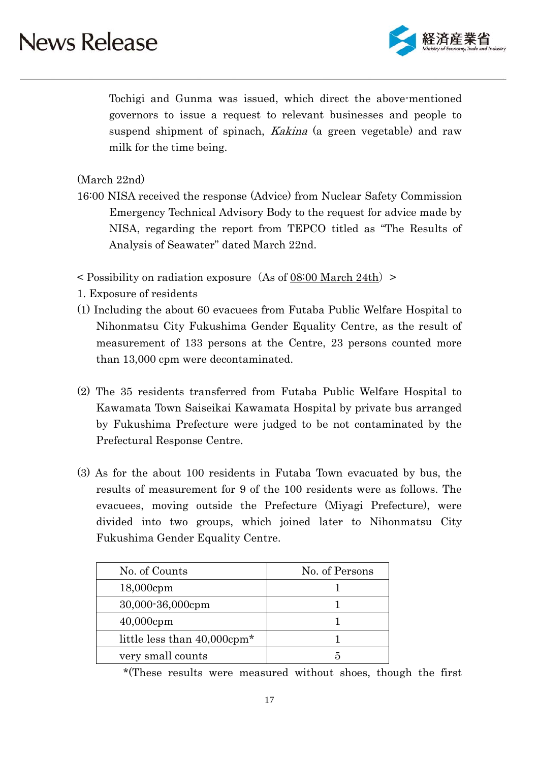

Tochigi and Gunma was issued, which direct the above-mentioned governors to issue a request to relevant businesses and people to suspend shipment of spinach, *Kakina* (a green vegetable) and raw milk for the time being.

(March 22nd)

- 16:00 NISA received the response (Advice) from Nuclear Safety Commission Emergency Technical Advisory Body to the request for advice made by NISA, regarding the report from TEPCO titled as "The Results of Analysis of Seawater" dated March 22nd.
- $\leq$  Possibility on radiation exposure (As of 08:00 March 24th)  $\geq$
- 1. Exposure of residents
- (1) Including the about 60 evacuees from Futaba Public Welfare Hospital to Nihonmatsu City Fukushima Gender Equality Centre, as the result of measurement of 133 persons at the Centre, 23 persons counted more than 13,000 cpm were decontaminated.
- (2) The 35 residents transferred from Futaba Public Welfare Hospital to Kawamata Town Saiseikai Kawamata Hospital by private bus arranged by Fukushima Prefecture were judged to be not contaminated by the Prefectural Response Centre.
- (3) As for the about 100 residents in Futaba Town evacuated by bus, the results of measurement for 9 of the 100 residents were as follows. The evacuees, moving outside the Prefecture (Miyagi Prefecture), were divided into two groups, which joined later to Nihonmatsu City Fukushima Gender Equality Centre.

| No. of Counts                           | No. of Persons |  |  |
|-----------------------------------------|----------------|--|--|
| $18,000$ cpm                            |                |  |  |
| 30,000-36,000cpm                        |                |  |  |
| $40,000$ cpm                            |                |  |  |
| little less than 40,000cpm <sup>*</sup> |                |  |  |
| very small counts                       |                |  |  |

\*(These results were measured without shoes, though the first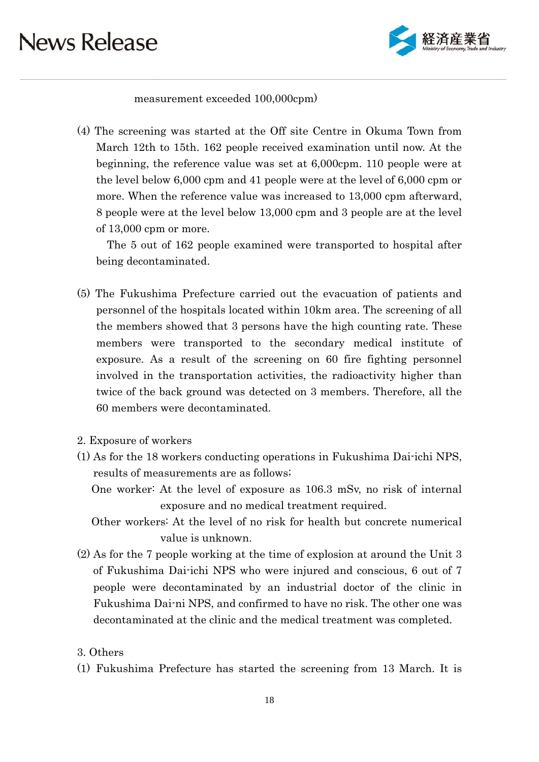

measurement exceeded 100,000cpm)

(4) The screening was started at the Off site Centre in Okuma Town from March 12th to 15th. 162 people received examination until now. At the beginning, the reference value was set at 6,000cpm. 110 people were at the level below 6,000 cpm and 41 people were at the level of 6,000 cpm or more. When the reference value was increased to 13,000 cpm afterward, 8 people were at the level below 13,000 cpm and 3 people are at the level of 13,000 cpm or more.

The 5 out of 162 people examined were transported to hospital after being decontaminated.

- (5) The Fukushima Prefecture carried out the evacuation of patients and personnel of the hospitals located within 10km area. The screening of all the members showed that 3 persons have the high counting rate. These members were transported to the secondary medical institute of exposure. As a result of the screening on 60 fire fighting personnel involved in the transportation activities, the radioactivity higher than twice of the back ground was detected on 3 members. Therefore, all the 60 members were decontaminated.
- 2. Exposure of workers
- (1) As for the 18 workers conducting operations in Fukushima Dai-ichi NPS, results of measurements are as follows;

One worker: At the level of exposure as 106.3 mSv, no risk of internal exposure and no medical treatment required.

Other workers: At the level of no risk for health but concrete numerical value is unknown.

(2) As for the 7 people working at the time of explosion at around the Unit 3 of Fukushima Dai-ichi NPS who were injured and conscious, 6 out of 7 people were decontaminated by an industrial doctor of the clinic in Fukushima Dai-ni NPS, and confirmed to have no risk. The other one was decontaminated at the clinic and the medical treatment was completed.

#### 3. Others

(1) Fukushima Prefecture has started the screening from 13 March. It is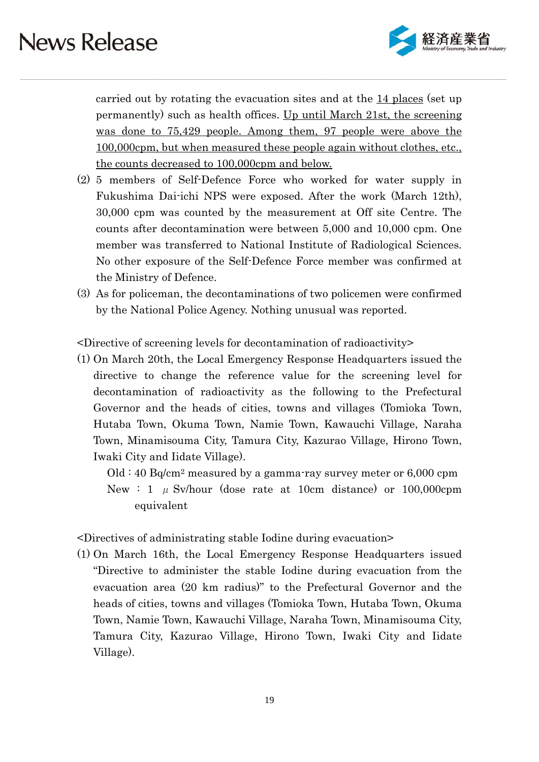

carried out by rotating the evacuation sites and at the 14 places (set up permanently) such as health offices. Up until March 21st, the screening was done to 75,429 people. Among them, 97 people were above the 100,000cpm, but when measured these people again without clothes, etc., the counts decreased to 100,000cpm and below.

- (2) 5 members of Self-Defence Force who worked for water supply in Fukushima Dai-ichi NPS were exposed. After the work (March 12th), 30,000 cpm was counted by the measurement at Off site Centre. The counts after decontamination were between 5,000 and 10,000 cpm. One member was transferred to National Institute of Radiological Sciences. No other exposure of the Self-Defence Force member was confirmed at the Ministry of Defence.
- (3) As for policeman, the decontaminations of two policemen were confirmed by the National Police Agency. Nothing unusual was reported.

<Directive of screening levels for decontamination of radioactivity>

- (1) On March 20th, the Local Emergency Response Headquarters issued the directive to change the reference value for the screening level for decontamination of radioactivity as the following to the Prefectural Governor and the heads of cities, towns and villages (Tomioka Town, Hutaba Town, Okuma Town, Namie Town, Kawauchi Village, Naraha Town, Minamisouma City, Tamura City, Kazurao Village, Hirono Town, Iwaki City and Iidate Village).
	- Old : 40 Bq/cm2 measured by a gamma-ray survey meter or 6,000 cpm New : 1  $\mu$  Sv/hour (dose rate at 10cm distance) or 100,000cpm equivalent

<Directives of administrating stable Iodine during evacuation>

(1) On March 16th, the Local Emergency Response Headquarters issued "Directive to administer the stable Iodine during evacuation from the evacuation area (20 km radius)" to the Prefectural Governor and the heads of cities, towns and villages (Tomioka Town, Hutaba Town, Okuma Town, Namie Town, Kawauchi Village, Naraha Town, Minamisouma City, Tamura City, Kazurao Village, Hirono Town, Iwaki City and Iidate Village).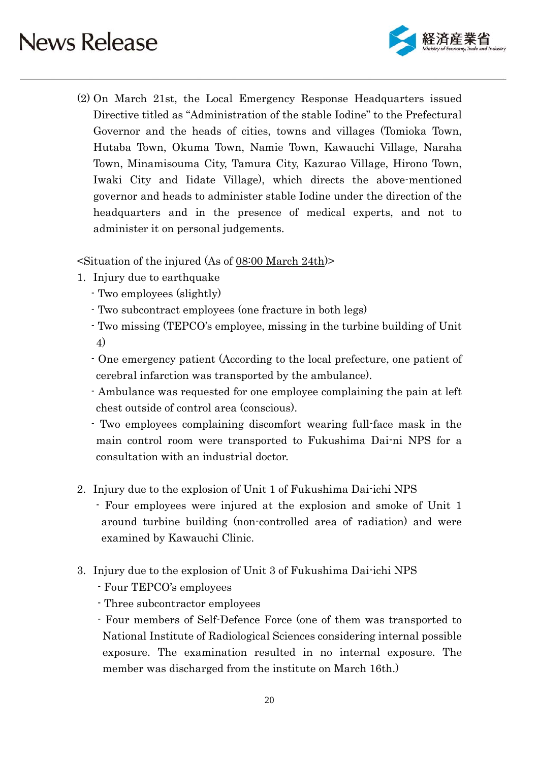

(2) On March 21st, the Local Emergency Response Headquarters issued Directive titled as "Administration of the stable Iodine" to the Prefectural Governor and the heads of cities, towns and villages (Tomioka Town, Hutaba Town, Okuma Town, Namie Town, Kawauchi Village, Naraha Town, Minamisouma City, Tamura City, Kazurao Village, Hirono Town, Iwaki City and Iidate Village), which directs the above-mentioned governor and heads to administer stable Iodine under the direction of the headquarters and in the presence of medical experts, and not to administer it on personal judgements.

 $\leq$ Situation of the injured (As of 08:00 March 24th)

- 1. Injury due to earthquake
	- Two employees (slightly)
	- Two subcontract employees (one fracture in both legs)
	- Two missing (TEPCO's employee, missing in the turbine building of Unit 4)
	- One emergency patient (According to the local prefecture, one patient of cerebral infarction was transported by the ambulance).
	- Ambulance was requested for one employee complaining the pain at left chest outside of control area (conscious).
	- Two employees complaining discomfort wearing full-face mask in the main control room were transported to Fukushima Dai-ni NPS for a consultation with an industrial doctor.
- 2. Injury due to the explosion of Unit 1 of Fukushima Dai-ichi NPS
	- Four employees were injured at the explosion and smoke of Unit 1 around turbine building (non-controlled area of radiation) and were examined by Kawauchi Clinic.
- 3. Injury due to the explosion of Unit 3 of Fukushima Dai-ichi NPS
	- Four TEPCO's employees
	- Three subcontractor employees
	- Four members of Self-Defence Force (one of them was transported to National Institute of Radiological Sciences considering internal possible exposure. The examination resulted in no internal exposure. The member was discharged from the institute on March 16th.)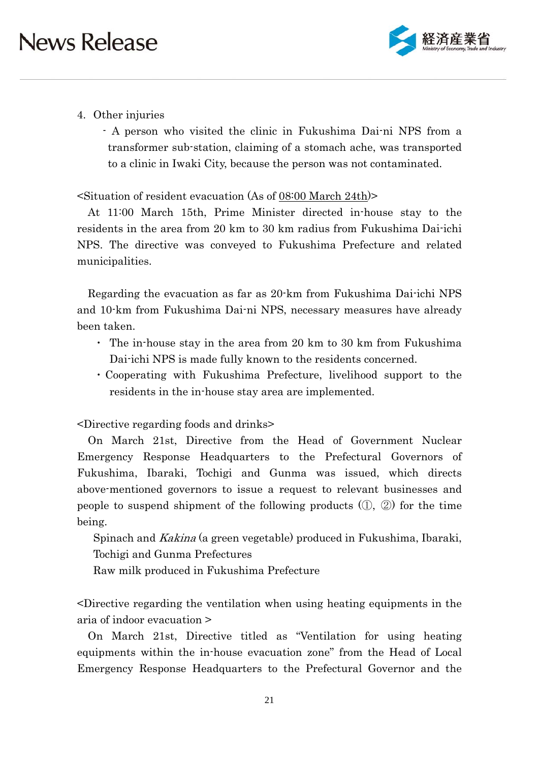

### 4. Other injuries

- A person who visited the clinic in Fukushima Dai-ni NPS from a transformer sub-station, claiming of a stomach ache, was transported to a clinic in Iwaki City, because the person was not contaminated.

#### <Situation of resident evacuation (As of 08:00 March 24th)>

At 11:00 March 15th, Prime Minister directed in-house stay to the residents in the area from 20 km to 30 km radius from Fukushima Dai-ichi NPS. The directive was conveyed to Fukushima Prefecture and related municipalities.

Regarding the evacuation as far as 20-km from Fukushima Dai-ichi NPS and 10-km from Fukushima Dai-ni NPS, necessary measures have already been taken.

- ・ The in-house stay in the area from 20 km to 30 km from Fukushima Dai-ichi NPS is made fully known to the residents concerned.
- ・Cooperating with Fukushima Prefecture, livelihood support to the residents in the in-house stay area are implemented.

<Directive regarding foods and drinks>

On March 21st, Directive from the Head of Government Nuclear Emergency Response Headquarters to the Prefectural Governors of Fukushima, Ibaraki, Tochigi and Gunma was issued, which directs above-mentioned governors to issue a request to relevant businesses and people to suspend shipment of the following products (①, ②) for the time being.

 Spinach and Kakina (a green vegetable) produced in Fukushima, Ibaraki, Tochigi and Gunma Prefectures

Raw milk produced in Fukushima Prefecture

<Directive regarding the ventilation when using heating equipments in the aria of indoor evacuation >

On March 21st, Directive titled as "Ventilation for using heating equipments within the in-house evacuation zone" from the Head of Local Emergency Response Headquarters to the Prefectural Governor and the